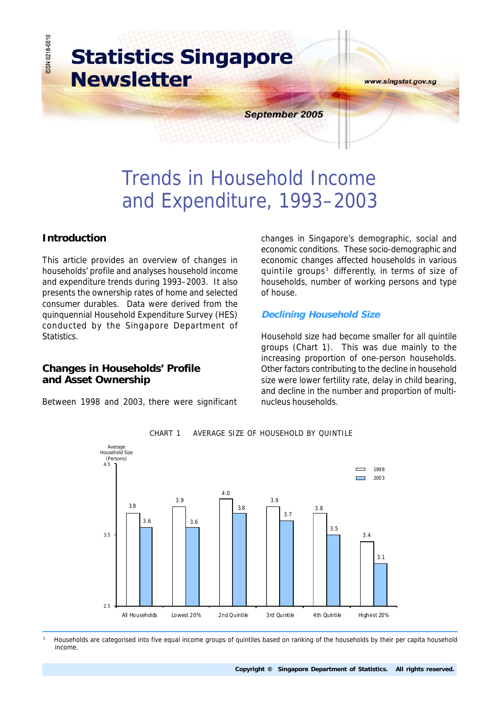

# Trends in Household Income and Expenditure, 1993–2003

# **Introduction**

This article provides an overview of changes in households' profile and analyses household income and expenditure trends during 1993–2003. It also presents the ownership rates of home and selected consumer durables. Data were derived from the quinquennial Household Expenditure Survey (HES) conducted by the Singapore Department of **Statistics** 

## **Changes in Households' Profile and Asset Ownership**

Between 1998 and 2003, there were significant

changes in Singapore's demographic, social and economic conditions. These socio-demographic and economic changes affected households in various quintile groups<sup>1</sup> differently, in terms of size of households, number of working persons and type of house.

# **Declining Household Size**

Household size had become smaller for all quintile groups (Chart 1). This was due mainly to the increasing proportion of one-person households. Other factors contributing to the decline in household size were lower fertility rate, delay in child bearing, and decline in the number and proportion of multinucleus households.



CHART 1 AVERAGE SIZE OF HOUSEHOLD BY QUINTILE

<sup>1</sup> Households are categorised into five equal income groups of quintiles based on ranking of the households by their per capita household income.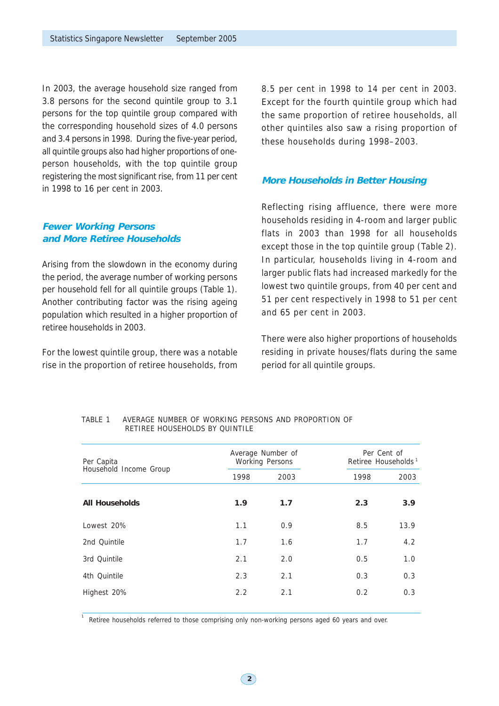In 2003, the average household size ranged from 3.8 persons for the second quintile group to 3.1 persons for the top quintile group compared with the corresponding household sizes of 4.0 persons and 3.4 persons in 1998. During the five-year period, all quintile groups also had higher proportions of oneperson households, with the top quintile group registering the most significant rise, from 11 per cent in 1998 to 16 per cent in 2003.

# **Fewer Working Persons and More Retiree Households**

1

Arising from the slowdown in the economy during the period, the average number of working persons per household fell for all quintile groups (Table 1). Another contributing factor was the rising ageing population which resulted in a higher proportion of retiree households in 2003.

For the lowest quintile group, there was a notable rise in the proportion of retiree households, from 8.5 per cent in 1998 to 14 per cent in 2003. Except for the fourth quintile group which had the same proportion of retiree households, all other quintiles also saw a rising proportion of these households during 1998–2003.

## **More Households in Better Housing**

Reflecting rising affluence, there were more households residing in 4-room and larger public flats in 2003 than 1998 for all households except those in the top quintile group (Table 2). In particular, households living in 4-room and larger public flats had increased markedly for the lowest two quintile groups, from 40 per cent and 51 per cent respectively in 1998 to 51 per cent and 65 per cent in 2003.

There were also higher proportions of households residing in private houses/flats during the same period for all quintile groups.

| Per Capita             |      | Average Number of<br><b>Working Persons</b> | Per Cent of<br>Retiree Households <sup>1</sup> |
|------------------------|------|---------------------------------------------|------------------------------------------------|
| Household Income Group | 1998 | 2003                                        | 1998<br>2003                                   |
| <b>All Households</b>  | 1.9  | 1.7                                         | 3.9<br>2.3                                     |
| Lowest 20%             | 1.1  | 0.9                                         | 13.9<br>8.5                                    |
| 2nd Ouintile           | 1.7  | 1.6                                         | 4.2<br>1.7                                     |
| 3rd Ouintile           | 2.1  | 2.0                                         | 0.5<br>1.0                                     |
| 4th Ouintile           | 2.3  | 2.1                                         | 0.3<br>0.3                                     |
| Highest 20%            | 2.2  | 2.1                                         | 0.3<br>0.2                                     |

TABLE 1 AVERAGE NUMBER OF WORKING PERSONS AND PROPORTION OF RETIREE HOUSEHOLDS BY QUINTILE

Retiree households referred to those comprising only non-working persons aged 60 years and over.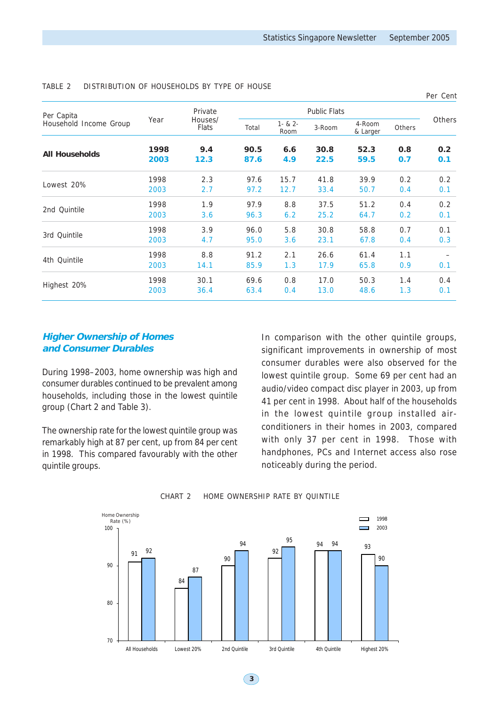|                        |              |                         |              |                     |                     |                    |            | Per Cent |
|------------------------|--------------|-------------------------|--------------|---------------------|---------------------|--------------------|------------|----------|
| Per Capita             |              | Private                 |              |                     | <b>Public Flats</b> |                    |            | Others   |
| Household Income Group | Year         | Houses/<br><b>Flats</b> | Total        | $1 - 8.2 -$<br>Room | 3-Room              | 4-Room<br>& Larger | Others     |          |
| <b>All Households</b>  | 1998         | 9.4                     | 90.5         | 6.6                 | 30.8                | 52.3               | 0.8        | 0.2      |
|                        | 2003         | 12.3                    | 87.6         | 4.9                 | 22.5                | 59.5               | 0.7        | 0.1      |
| Lowest 20%             | 1998         | 2.3                     | 97.6         | 15.7                | 41.8                | 39.9               | 0.2        | 0.2      |
|                        | 2003         | 2.7                     | 97.2         | 12.7                | 33.4                | 50.7               | 0.4        | 0.1      |
| 2nd Quintile           | 1998         | 1.9                     | 97.9         | 8.8                 | 37.5                | 51.2               | 0.4        | 0.2      |
|                        | 2003         | 3.6                     | 96.3         | 6.2                 | 25.2                | 64.7               | 0.2        | 0.1      |
| 3rd Quintile           | 1998         | 3.9                     | 96.0         | 5.8                 | 30.8                | 58.8               | 0.7        | 0.1      |
|                        | 2003         | 4.7                     | 95.0         | 3.6                 | 23.1                | 67.8               | 0.4        | 0.3      |
| 4th Quintile           | 1998<br>2003 | 8.8<br>14.1             | 91.2<br>85.9 | 2.1<br>1.3          | 26.6<br>17.9        | 61.4<br>65.8       | 1.1<br>0.9 | 0.1      |
| Highest 20%            | 1998         | 30.1                    | 69.6         | 0.8                 | 17.0                | 50.3               | 1.4        | 0.4      |
|                        | 2003         | 36.4                    | 63.4         | 0.4                 | 13.0                | 48.6               | 1.3        | 0.1      |

## TABLE 2 DISTRIBUTION OF HOUSEHOLDS BY TYPE OF HOUSE

## **Higher Ownership of Homes and Consumer Durables**

During 1998–2003, home ownership was high and consumer durables continued to be prevalent among households, including those in the lowest quintile group (Chart 2 and Table 3).

The ownership rate for the lowest quintile group was remarkably high at 87 per cent, up from 84 per cent in 1998. This compared favourably with the other quintile groups.

In comparison with the other quintile groups, significant improvements in ownership of most consumer durables were also observed for the lowest quintile group. Some 69 per cent had an audio/video compact disc player in 2003, up from 41 per cent in 1998. About half of the households in the lowest quintile group installed airconditioners in their homes in 2003, compared with only 37 per cent in 1998. Those with handphones, PCs and Internet access also rose noticeably during the period.



### CHART 2 HOME OWNERSHIP RATE BY QUINTILE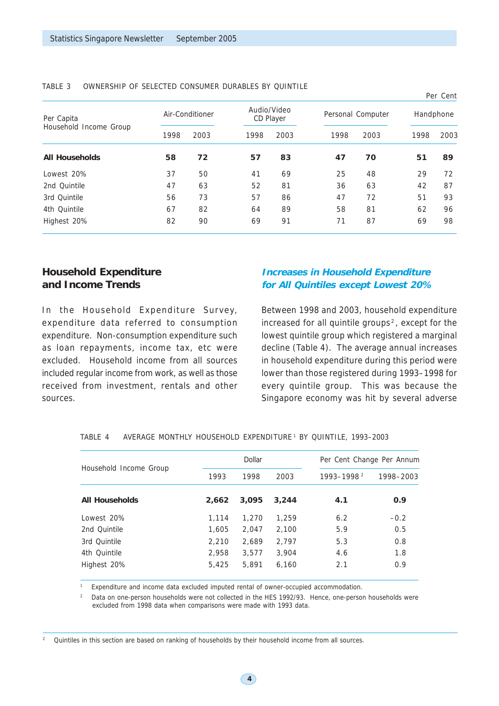|                                      |                 |      |                          |      |                   |      |           | Per Cent |
|--------------------------------------|-----------------|------|--------------------------|------|-------------------|------|-----------|----------|
| Per Capita<br>Household Income Group | Air-Conditioner |      | Audio/Video<br>CD Player |      | Personal Computer |      | Handphone |          |
|                                      | 1998            | 2003 | 1998                     | 2003 | 1998              | 2003 | 1998      | 2003     |
| <b>All Households</b>                | 58              | 72   | 57                       | 83   | 47                | 70   | 51        | 89       |
| Lowest 20%                           | 37              | 50   | 41                       | 69   | 25                | 48   | 29        | 72       |
| 2nd Quintile                         | 47              | 63   | 52                       | 81   | 36                | 63   | 42        | 87       |
| 3rd Ouintile                         | 56              | 73   | 57                       | 86   | 47                | 72   | 51        | 93       |
| 4th Quintile                         | 67              | 82   | 64                       | 89   | 58                | 81   | 62        | 96       |
| Highest 20%                          | 82              | 90   | 69                       | 91   | 71                | 87   | 69        | 98       |

## TABLE 3 OWNERSHIP OF SELECTED CONSUMER DURABLES BY QUINTILE

# **Household Expenditure and Income Trends**

In the Household Expenditure Survey, expenditure data referred to consumption expenditure. Non-consumption expenditure such as loan repayments, income tax, etc were excluded. Household income from all sources included regular income from work, as well as those received from investment, rentals and other sources.

# **Increases in Household Expenditure for All Quintiles except Lowest 20%**

Between 1998 and 2003, household expenditure increased for all quintile groups<sup>2</sup>, except for the lowest quintile group which registered a marginal decline (Table 4). The average annual increases in household expenditure during this period were lower than those registered during 1993–1998 for every quintile group. This was because the Singapore economy was hit by several adverse

|                        |              | Dollar |       | Per Cent Change Per Annum |           |  |
|------------------------|--------------|--------|-------|---------------------------|-----------|--|
| Household Income Group | 1998<br>1993 |        | 2003  | 1993-1998 <sup>2</sup>    | 1998-2003 |  |
| <b>All Households</b>  | 2.662        | 3,095  | 3.244 | 4.1                       | 0.9       |  |
| Lowest 20%             | 1.114        | 1,270  | 1.259 | 6.2                       | $-0.2$    |  |
| 2nd Ouintile           | 1,605        | 2,047  | 2.100 | 5.9                       | 0.5       |  |
| 3rd Ouintile           | 2,210        | 2,689  | 2,797 | 5.3                       | 0.8       |  |
| 4th Ouintile           | 2,958        | 3.577  | 3,904 | 4.6                       | 1.8       |  |
| Highest 20%            | 5,425        | 5,891  | 6,160 | 2.1                       | 0.9       |  |

TABLE 4 AVERAGE MONTHLY HOUSEHOLD EXPENDITURE <sup>1</sup> BY QUINTILE, 1993–2003

Expenditure and income data excluded imputed rental of owner-occupied accommodation.

<sup>2</sup> Data on one-person households were not collected in the HES 1992/93. Hence, one-person households were excluded from 1998 data when comparisons were made with 1993 data.

 **4**

<sup>2</sup> Quintiles in this section are based on ranking of households by their household income from all sources.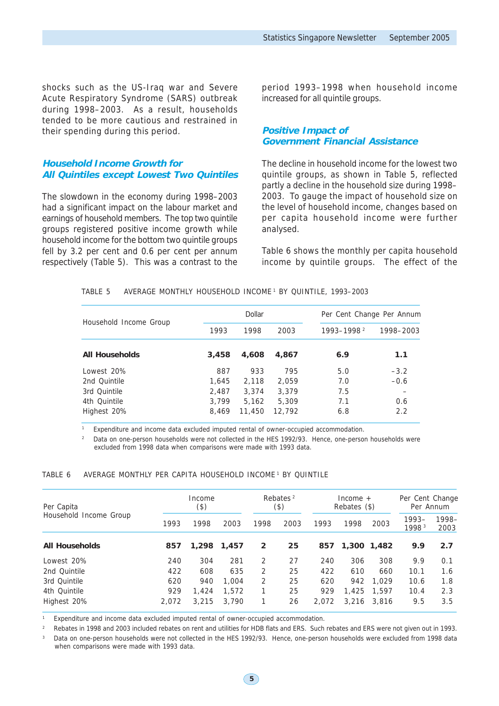shocks such as the US-Iraq war and Severe Acute Respiratory Syndrome (SARS) outbreak during 1998–2003. As a result, households tended to be more cautious and restrained in their spending during this period.

## **Household Income Growth for All Quintiles except Lowest Two Quintiles**

The slowdown in the economy during 1998–2003 had a significant impact on the labour market and earnings of household members. The top two quintile groups registered positive income growth while household income for the bottom two quintile groups fell by 3.2 per cent and 0.6 per cent per annum respectively (Table 5). This was a contrast to the period 1993–1998 when household income increased for all quintile groups.

## **Positive Impact of Government Financial Assistance**

The decline in household income for the lowest two quintile groups, as shown in Table 5, reflected partly a decline in the household size during 1998– 2003. To gauge the impact of household size on the level of household income, changes based on per capita household income were further analysed.

Table 6 shows the monthly per capita household income by quintile groups. The effect of the

| TABLE 5 |  | AVERAGE MONTHLY HOUSEHOLD INCOME <sup>1</sup> BY QUINTILE, 1993-2003 |  |  |
|---------|--|----------------------------------------------------------------------|--|--|

|                        |       | Dollar |        | Per Cent Change Per Annum |           |  |
|------------------------|-------|--------|--------|---------------------------|-----------|--|
| Household Income Group | 1993  | 1998   | 2003   | 1993-1998 <sup>2</sup>    | 1998-2003 |  |
| <b>All Households</b>  | 3,458 | 4,608  | 4,867  | 6.9                       | 1.1       |  |
| Lowest 20%             | 887   | 933    | 795    | 5.0                       | $-3.2$    |  |
| 2nd Ouintile           | 1,645 | 2,118  | 2,059  | 7.0                       | $-0.6$    |  |
| 3rd Quintile           | 2,487 | 3,374  | 3,379  | 7.5                       |           |  |
| 4th Quintile           | 3.799 | 5,162  | 5.309  | 7.1                       | 0.6       |  |
| Highest 20%            | 8,469 | 11,450 | 12,792 | 6.8                       | 2.2       |  |
|                        |       |        |        |                           |           |  |

Expenditure and income data excluded imputed rental of owner-occupied accommodation.

<sup>2</sup> Data on one-person households were not collected in the HES 1992/93. Hence, one-person households were excluded from 1998 data when comparisons were made with 1993 data.

TABLE 6 AVERAGE MONTHLY PER CAPITA HOUSEHOLD INCOME <sup>1</sup> BY QUINTILE

| Per Capita             |       | Income<br>$(\$)$ |       | Rebates $2$<br>(3) |      | $Income +$<br>Rebates (\$) |       |             | Per Cent Change<br>Per Annum |                  |
|------------------------|-------|------------------|-------|--------------------|------|----------------------------|-------|-------------|------------------------------|------------------|
| Household Income Group | 1993  | 1998             | 2003  | 1998               | 2003 | 1993                       | 1998  | 2003        | $1993 -$<br>1998 3           | $1998 -$<br>2003 |
| <b>All Households</b>  | 857   | 1,298            | 1,457 | $\overline{2}$     | 25   | 857                        |       | 1,300 1,482 | 9.9                          | 2.7              |
| Lowest 20%             | 240   | 304              | 281   | 2                  | 27   | 240                        | 306   | 308         | 9.9                          | 0.1              |
| 2nd Quintile           | 422   | 608              | 635   | 2                  | 25   | 422                        | 610   | 660         | 10.1                         | 1.6              |
| 3rd Ouintile           | 620   | 940              | 1,004 | 2                  | 25   | 620                        | 942   | 1.029       | 10.6                         | 1.8              |
| 4th Quintile           | 929   | 1,424            | 1.572 |                    | 25   | 929                        | 1,425 | 1.597       | 10.4                         | 2.3              |
| Highest 20%            | 2.072 | 3.215            | 3.790 |                    | 26   | 2,072                      | 3,216 | 3.816       | 9.5                          | 3.5              |

Expenditure and income data excluded imputed rental of owner-occupied accommodation.

<sup>2</sup> Rebates in 1998 and 2003 included rebates on rent and utilities for HDB flats and ERS. Such rebates and ERS were not given out in 1993. Data on one-person households were not collected in the HES 1992/93. Hence, one-person households were excluded from 1998 data when comparisons were made with 1993 data.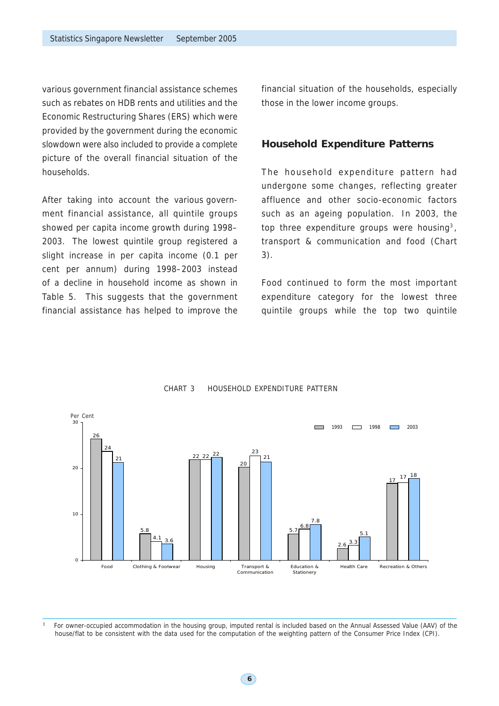various government financial assistance schemes such as rebates on HDB rents and utilities and the Economic Restructuring Shares (ERS) which were provided by the government during the economic slowdown were also included to provide a complete picture of the overall financial situation of the households.

After taking into account the various government financial assistance, all quintile groups showed per capita income growth during 1998– 2003. The lowest quintile group registered a slight increase in per capita income (0.1 per cent per annum) during 1998–2003 instead of a decline in household income as shown in Table 5. This suggests that the government financial assistance has helped to improve the

financial situation of the households, especially those in the lower income groups.

# **Household Expenditure Patterns**

The household expenditure pattern had undergone some changes, reflecting greater affluence and other socio-economic factors such as an ageing population. In 2003, the top three expenditure groups were housing<sup>3</sup>, transport & communication and food (Chart 3).

Food continued to form the most important expenditure category for the lowest three quintile groups while the top two quintile



CHART 3 HOUSEHOLD EXPENDITURE PATTERN

 **6**

<sup>3</sup> For owner-occupied accommodation in the housing group, imputed rental is included based on the Annual Assessed Value (AAV) of the house/flat to be consistent with the data used for the computation of the weighting pattern of the Consumer Price Index (CPI).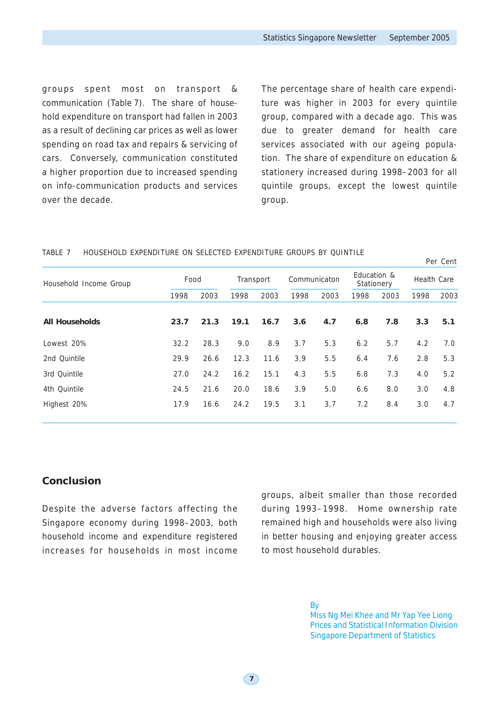groups spent most on transport & communication (Table 7). The share of household expenditure on transport had fallen in 2003 as a result of declining car prices as well as lower spending on road tax and repairs & servicing of cars. Conversely, communication constituted a higher proportion due to increased spending on info-communication products and services over the decade.

The percentage share of health care expenditure was higher in 2003 for every quintile group, compared with a decade ago. This was due to greater demand for health care services associated with our ageing population. The share of expenditure on education & stationery increased during 1998–2003 for all quintile groups, except the lowest quintile group.

## TABLE 7 HOUSEHOLD EXPENDITURE ON SELECTED EXPENDITURE GROUPS BY QUINTILE

|                        |      |      |      |           |      |              |      |                           |      | Per Cent           |  |
|------------------------|------|------|------|-----------|------|--------------|------|---------------------------|------|--------------------|--|
| Household Income Group |      | Food |      | Transport |      | Communicaton |      | Education &<br>Stationery |      | <b>Health Care</b> |  |
|                        | 1998 | 2003 | 1998 | 2003      | 1998 | 2003         | 1998 | 2003                      | 1998 | 2003               |  |
| <b>All Households</b>  | 23.7 | 21.3 | 19.1 | 16.7      | 3.6  | 4.7          | 6.8  | 7.8                       | 3.3  | 5.1                |  |
| Lowest 20%             | 32.2 | 28.3 | 9.0  | 8.9       | 3.7  | 5.3          | 6.2  | 5.7                       | 4.2  | 7.0                |  |
| 2nd Quintile           | 29.9 | 26.6 | 12.3 | 11.6      | 3.9  | 5.5          | 6.4  | 7.6                       | 2.8  | 5.3                |  |
| 3rd Quintile           | 27.0 | 24.2 | 16.2 | 15.1      | 4.3  | 5.5          | 6.8  | 7.3                       | 4.0  | 5.2                |  |
| 4th Quintile           | 24.5 | 21.6 | 20.0 | 18.6      | 3.9  | 5.0          | 6.6  | 8.0                       | 3.0  | 4.8                |  |
| Highest 20%            | 17.9 | 16.6 | 24.2 | 19.5      | 3.1  | 3.7          | 7.2  | 8.4                       | 3.0  | 4.7                |  |

# **Conclusion**

Despite the adverse factors affecting the Singapore economy during 1998–2003, both household income and expenditure registered increases for households in most income groups, albeit smaller than those recorded during 1993–1998. Home ownership rate remained high and households were also living in better housing and enjoying greater access to most household durables.

> By Miss Ng Mei Khee and Mr Yap Yee Liong Prices and Statistical Information Division Singapore Department of Statistics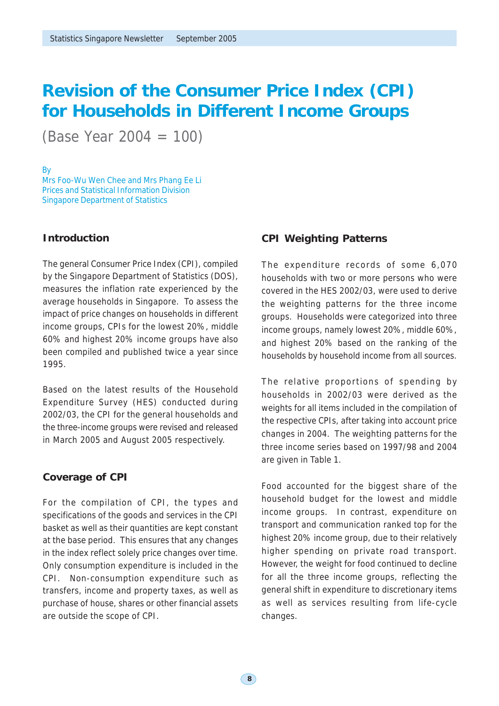# **Revision of the Consumer Price Index (CPI) for Households in Different Income Groups**

(Base Year 2004 = 100)

### By

Mrs Foo-Wu Wen Chee and Mrs Phang Ee Li Prices and Statistical Information Division Singapore Department of Statistics

# **Introduction**

The general Consumer Price Index (CPI), compiled by the Singapore Department of Statistics (DOS), measures the inflation rate experienced by the average households in Singapore. To assess the impact of price changes on households in different income groups, CPIs for the lowest 20%, middle 60% and highest 20% income groups have also been compiled and published twice a year since 1995.

Based on the latest results of the Household Expenditure Survey (HES) conducted during 2002/03, the CPI for the general households and the three-income groups were revised and released in March 2005 and August 2005 respectively.

# **Coverage of CPI**

For the compilation of CPI, the types and specifications of the goods and services in the CPI basket as well as their quantities are kept constant at the base period. This ensures that any changes in the index reflect solely price changes over time. Only consumption expenditure is included in the CPI. Non-consumption expenditure such as transfers, income and property taxes, as well as purchase of house, shares or other financial assets are outside the scope of CPI.

# **CPI Weighting Patterns**

The expenditure records of some 6,070 households with two or more persons who were covered in the HES 2002/03, were used to derive the weighting patterns for the three income groups. Households were categorized into three income groups, namely lowest 20%, middle 60%, and highest 20% based on the ranking of the households by household income from all sources.

The relative proportions of spending by households in 2002/03 were derived as the weights for all items included in the compilation of the respective CPIs, after taking into account price changes in 2004. The weighting patterns for the three income series based on 1997/98 and 2004 are given in Table 1.

Food accounted for the biggest share of the household budget for the lowest and middle income groups. In contrast, expenditure on transport and communication ranked top for the highest 20% income group, due to their relatively higher spending on private road transport. However, the weight for food continued to decline for all the three income groups, reflecting the general shift in expenditure to discretionary items as well as services resulting from life-cycle changes.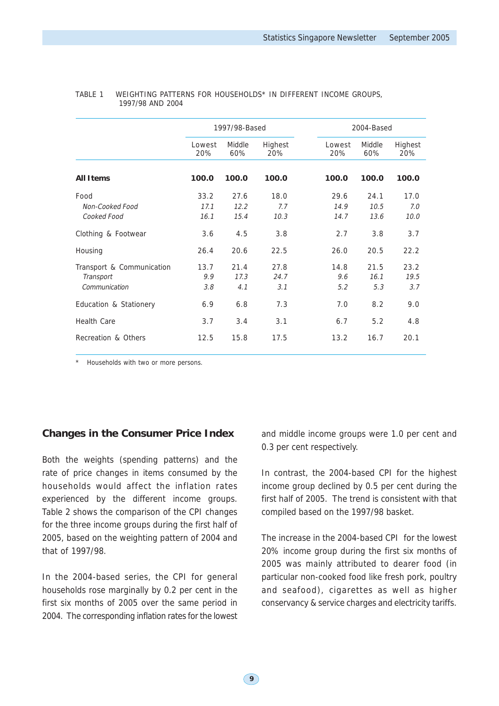|                           |               | 1997/98-Based |                |               | 2004-Based    |                |  |  |
|---------------------------|---------------|---------------|----------------|---------------|---------------|----------------|--|--|
|                           | Lowest<br>20% | Middle<br>60% | Highest<br>20% | Lowest<br>20% | Middle<br>60% | Highest<br>20% |  |  |
| <b>All Items</b>          | 100.0         | 100.0         | 100.0          | 100.0         | 100.0         | 100.0          |  |  |
| Food                      | 33.2          | 27.6          | 18.0           | 29.6          | 24.1          | 17.0           |  |  |
| Non-Cooked Food           | 17.1          | 12.2          | 7.7            | 14.9          | 10.5          | 7.0            |  |  |
| Cooked Food               | 16.1          | 15.4          | 10.3           | 14.7          | 13.6          | 10.0           |  |  |
| Clothing & Footwear       | 3.6           | 4.5           | 3.8            | 2.7           | 3.8           | 3.7            |  |  |
| Housing                   | 26.4          | 20.6          | 22.5           | 26.0          | 20.5          | 22.2           |  |  |
| Transport & Communication | 13.7          | 21.4          | 27.8           | 14.8          | 21.5          | 23.2           |  |  |
| Transport                 | 9.9           | 17.3          | 24.7           | 9.6           | 16.1          | 19.5           |  |  |
| Communication             | 3.8           | 4.1           | 3.1            | 5.2           | 5.3           | 3.7            |  |  |
| Education & Stationery    | 6.9           | 6.8           | 7.3            | 7.0           | 8.2           | 9.0            |  |  |
| <b>Health Care</b>        | 3.7           | 3.4           | 3.1            | 6.7           | 5.2           | 4.8            |  |  |
| Recreation & Others       | 12.5          | 15.8          | 17.5           | 13.2          | 16.7          | 20.1           |  |  |

### TABLE 1 WEIGHTING PATTERNS FOR HOUSEHOLDS\* IN DIFFERENT INCOME GROUPS, 1997/98 AND 2004

Households with two or more persons.

# **Changes in the Consumer Price Index**

Both the weights (spending patterns) and the rate of price changes in items consumed by the households would affect the inflation rates experienced by the different income groups. Table 2 shows the comparison of the CPI changes for the three income groups during the first half of 2005, based on the weighting pattern of 2004 and that of 1997/98.

In the 2004-based series, the CPI for general households rose marginally by 0.2 per cent in the first six months of 2005 over the same period in 2004. The corresponding inflation rates for the lowest and middle income groups were 1.0 per cent and 0.3 per cent respectively.

In contrast, the 2004-based CPI for the highest income group declined by 0.5 per cent during the first half of 2005. The trend is consistent with that compiled based on the 1997/98 basket.

The increase in the 2004-based CPI for the lowest 20% income group during the first six months of 2005 was mainly attributed to dearer food (in particular non-cooked food like fresh pork, poultry and seafood), cigarettes as well as higher conservancy & service charges and electricity tariffs.

**9**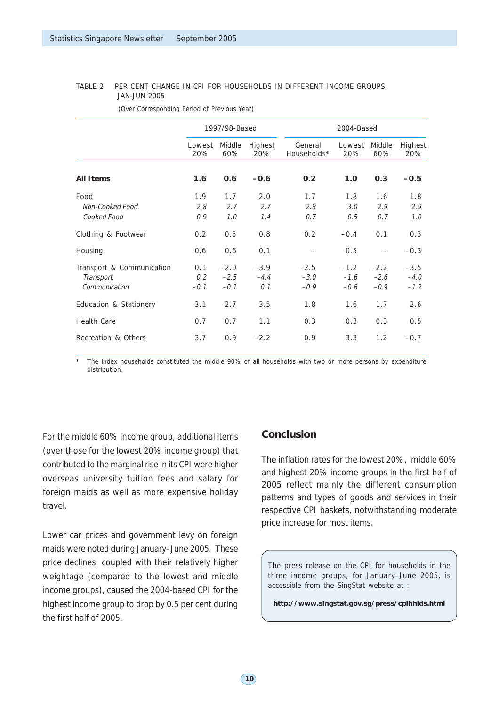## TABLE 2 PER CENT CHANGE IN CPI FOR HOUSEHOLDS IN DIFFERENT INCOME GROUPS, JAN-JUN 2005

|                                                         |                      | 1997/98-Based              |                         | 2004-Based                 |                            |                            |                            |  |
|---------------------------------------------------------|----------------------|----------------------------|-------------------------|----------------------------|----------------------------|----------------------------|----------------------------|--|
|                                                         | Lowest<br>20%        | Middle<br>60%              | Highest<br>20%          | General<br>Households*     | Lowest<br>20%              | Middle<br>60%              | Highest<br>20%             |  |
| <b>All Items</b>                                        | 1.6                  | 0.6                        | $-0.6$                  | 0.2                        | 1.0                        | 0.3                        | $-0.5$                     |  |
| Food<br>Non-Cooked Food                                 | 1.9<br>2.8           | 1.7<br>2.7                 | 2.0<br>2.7              | 1.7<br>2.9                 | 1.8<br>3.0                 | 1.6<br>2.9                 | 1.8<br>2.9                 |  |
| Cooked Food                                             | 0.9                  | 1.0                        | 1.4                     | 0.7                        | 0.5                        | 0.7                        | 1.0                        |  |
| Clothing & Footwear                                     | 0.2                  | 0.5                        | 0.8                     | 0.2                        | $-0.4$                     | 0.1                        | 0.3                        |  |
| Housing                                                 | 0.6                  | 0.6                        | 0.1                     |                            | 0.5                        |                            | $-0.3$                     |  |
| Transport & Communication<br>Transport<br>Communication | 0.1<br>0.2<br>$-0.1$ | $-2.0$<br>$-2.5$<br>$-0.1$ | $-3.9$<br>$-4.4$<br>0.1 | $-2.5$<br>$-3.0$<br>$-0.9$ | $-1.2$<br>$-1.6$<br>$-0.6$ | $-2.2$<br>$-2.6$<br>$-0.9$ | $-3.5$<br>$-4.0$<br>$-1.2$ |  |
| Education & Stationery                                  | 3.1                  | 2.7                        | 3.5                     | 1.8                        | 1.6                        | 1.7                        | 2.6                        |  |
| Health Care                                             | 0.7                  | 0.7                        | 1.1                     | 0.3                        | 0.3                        | 0.3                        | 0.5                        |  |
| Recreation & Others                                     | 3.7                  | 0.9                        | $-2.2$                  | 0.9                        | 3.3                        | 1.2                        | $-0.7$                     |  |

(Over Corresponding Period of Previous Year)

The index households constituted the middle 90% of all households with two or more persons by expenditure distribution.

For the middle 60% income group, additional items (over those for the lowest 20% income group) that contributed to the marginal rise in its CPI were higher overseas university tuition fees and salary for foreign maids as well as more expensive holiday travel.

Lower car prices and government levy on foreign maids were noted during January–June 2005. These price declines, coupled with their relatively higher weightage (compared to the lowest and middle income groups), caused the 2004-based CPI for the highest income group to drop by 0.5 per cent during the first half of 2005.

# **Conclusion**

The inflation rates for the lowest 20%, middle 60% and highest 20% income groups in the first half of 2005 reflect mainly the different consumption patterns and types of goods and services in their respective CPI baskets, notwithstanding moderate price increase for most items.

The press release on the CPI for households in the three income groups, for January–June 2005, is accessible from the SingStat website at :

**http://www.singstat.gov.sg/press/cpihhlds.html**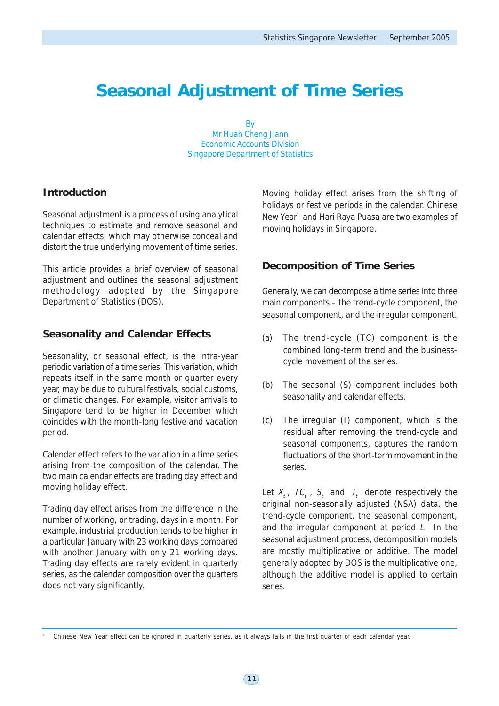# **Seasonal Adjustment of Time Series**

By Mr Huah Cheng Jiann Economic Accounts Division Singapore Department of Statistics

# **Introduction**

Seasonal adjustment is a process of using analytical techniques to estimate and remove seasonal and calendar effects, which may otherwise conceal and distort the true underlying movement of time series.

This article provides a brief overview of seasonal adjustment and outlines the seasonal adjustment methodology adopted by the Singapore Department of Statistics (DOS).

# **Seasonality and Calendar Effects**

Seasonality, or seasonal effect, is the intra-year periodic variation of a time series. This variation, which repeats itself in the same month or quarter every year, may be due to cultural festivals, social customs, or climatic changes. For example, visitor arrivals to Singapore tend to be higher in December which coincides with the month-long festive and vacation period.

Calendar effect refers to the variation in a time series arising from the composition of the calendar. The two main calendar effects are trading day effect and moving holiday effect.

Trading day effect arises from the difference in the number of working, or trading, days in a month. For example, industrial production tends to be higher in a particular January with 23 working days compared with another January with only 21 working days. Trading day effects are rarely evident in quarterly series, as the calendar composition over the quarters does not vary significantly.

Moving holiday effect arises from the shifting of holidays or festive periods in the calendar. Chinese New Year<sup>1</sup> and Hari Raya Puasa are two examples of moving holidays in Singapore.

## **Decomposition of Time Series**

Generally, we can decompose a time series into three main components – the trend-cycle component, the seasonal component, and the irregular component.

- (a) The trend-cycle (TC) component is the combined long-term trend and the businesscycle movement of the series.
- (b) The seasonal (S) component includes both seasonality and calendar effects.
- (c) The irregular (I) component, which is the residual after removing the trend-cycle and seasonal components, captures the random fluctuations of the short-term movement in the series.

Let  $X_t$ ,  $TC_t$ ,  $S_t$  and  $I_t$  denote respectively the original non-seasonally adjusted (NSA) data, the trend-cycle component, the seasonal component, and the irregular component at period  $t$ . In the seasonal adjustment process, decomposition models are mostly multiplicative or additive. The model generally adopted by DOS is the multiplicative one, although the additive model is applied to certain series.

<sup>1</sup> Chinese New Year effect can be ignored in quarterly series, as it always falls in the first quarter of each calendar year.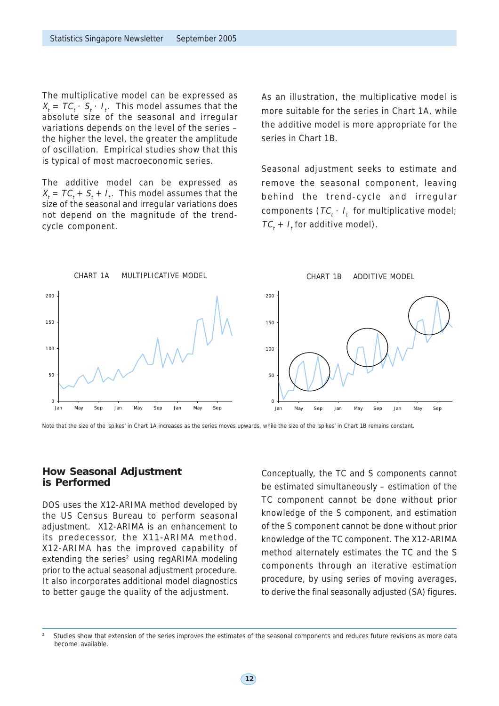The multiplicative model can be expressed as  $X_t = TC_t \cdot S_t \cdot I_t$ . This model assumes that the absolute size of the seasonal and irregular variations depends on the level of the series – the higher the level, the greater the amplitude of oscillation. Empirical studies show that this is typical of most macroeconomic series.

The additive model can be expressed as  $X_t = TC_t + S_t + I_t$ . This model assumes that the size of the seasonal and irregular variations does not depend on the magnitude of the trendcycle component.

As an illustration, the multiplicative model is more suitable for the series in Chart 1A, while the additive model is more appropriate for the series in Chart 1B.

Seasonal adjustment seeks to estimate and remove the seasonal component, leaving behind the trend-cycle and irregular components (T $C_t \cdot I_t$  for multiplicative model;  $TC_t + I_t$  for additive model).



Note that the size of the 'spikes' in Chart 1A increases as the series moves upwards, while the size of the 'spikes' in Chart 1B remains constant.

## **How Seasonal Adjustment is Performed**

DOS uses the X12-ARIMA method developed by the US Census Bureau to perform seasonal adjustment. X12-ARIMA is an enhancement to its predecessor, the X11-ARIMA method. X12-ARIMA has the improved capability of extending the series<sup>2</sup> using regARIMA modeling prior to the actual seasonal adjustment procedure. It also incorporates additional model diagnostics to better gauge the quality of the adjustment.

Conceptually, the TC and S components cannot be estimated simultaneously – estimation of the TC component cannot be done without prior knowledge of the S component, and estimation of the S component cannot be done without prior knowledge of the TC component. The X12-ARIMA method alternately estimates the TC and the S components through an iterative estimation procedure, by using series of moving averages, to derive the final seasonally adjusted (SA) figures.

<sup>2</sup> Studies show that extension of the series improves the estimates of the seasonal components and reduces future revisions as more data become available.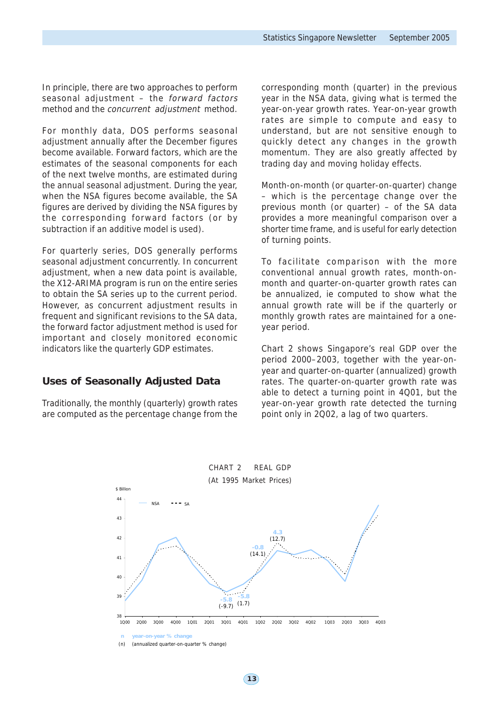In principle, there are two approaches to perform seasonal adjustment – the forward factors method and the concurrent adjustment method.

For monthly data, DOS performs seasonal adjustment annually after the December figures become available. Forward factors, which are the estimates of the seasonal components for each of the next twelve months, are estimated during the annual seasonal adjustment. During the year, when the NSA figures become available, the SA figures are derived by dividing the NSA figures by the corresponding forward factors (or by subtraction if an additive model is used).

For quarterly series, DOS generally performs seasonal adjustment concurrently. In concurrent adjustment, when a new data point is available, the X12-ARIMA program is run on the entire series to obtain the SA series up to the current period. However, as concurrent adjustment results in frequent and significant revisions to the SA data, the forward factor adjustment method is used for important and closely monitored economic indicators like the quarterly GDP estimates.

## **Uses of Seasonally Adjusted Data**

Traditionally, the monthly (quarterly) growth rates are computed as the percentage change from the corresponding month (quarter) in the previous year in the NSA data, giving what is termed the year-on-year growth rates. Year-on-year growth rates are simple to compute and easy to understand, but are not sensitive enough to quickly detect any changes in the growth momentum. They are also greatly affected by trading day and moving holiday effects.

Month-on-month (or quarter-on-quarter) change – which is the percentage change over the previous month (or quarter) – of the SA data provides a more meaningful comparison over a shorter time frame, and is useful for early detection of turning points.

To facilitate comparison with the more conventional annual growth rates, month-onmonth and quarter-on-quarter growth rates can be annualized, ie computed to show what the annual growth rate will be if the quarterly or monthly growth rates are maintained for a oneyear period.

Chart 2 shows Singapore's real GDP over the period 2000–2003, together with the year-onyear and quarter-on-quarter (annualized) growth rates. The quarter-on-quarter growth rate was able to detect a turning point in 4Q01, but the year-on-year growth rate detected the turning point only in 2Q02, a lag of two quarters.



(n) (annualized quarter-on-quarter % change)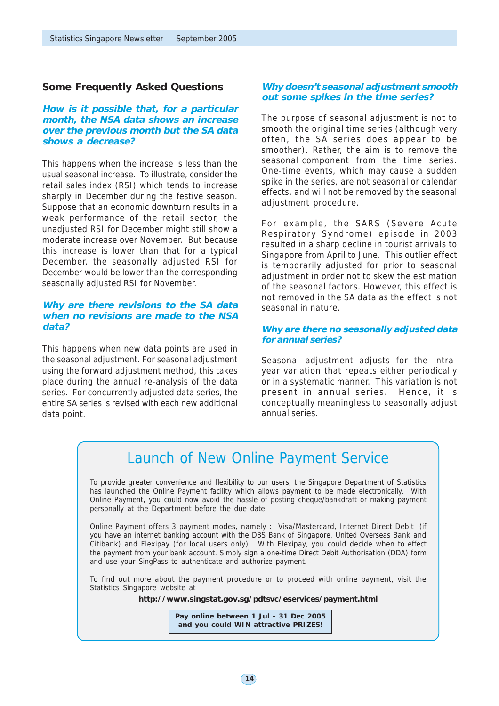## **Some Frequently Asked Questions**

**How is it possible that, for a particular month, the NSA data shows an increase over the previous month but the SA data shows a decrease?**

This happens when the increase is less than the usual seasonal increase. To illustrate, consider the retail sales index (RSI) which tends to increase sharply in December during the festive season. Suppose that an economic downturn results in a weak performance of the retail sector, the unadjusted RSI for December might still show a moderate increase over November. But because this increase is lower than that for a typical December, the seasonally adjusted RSI for December would be lower than the corresponding seasonally adjusted RSI for November.

# **Why are there revisions to the SA data when no revisions are made to the NSA data?**

This happens when new data points are used in the seasonal adjustment. For seasonal adjustment using the forward adjustment method, this takes place during the annual re-analysis of the data series. For concurrently adjusted data series, the entire SA series is revised with each new additional data point.

## **Why doesn't seasonal adjustment smooth out some spikes in the time series?**

The purpose of seasonal adjustment is not to smooth the original time series (although very often, the SA series does appear to be smoother). Rather, the aim is to remove the seasonal component from the time series. One-time events, which may cause a sudden spike in the series, are not seasonal or calendar effects, and will not be removed by the seasonal adjustment procedure.

For example, the SARS (Severe Acute Respiratory Syndrome) episode in 2003 resulted in a sharp decline in tourist arrivals to Singapore from April to June. This outlier effect is temporarily adjusted for prior to seasonal adjustment in order not to skew the estimation of the seasonal factors. However, this effect is not removed in the SA data as the effect is not seasonal in nature.

## **Why are there no seasonally adjusted data for annual series?**

Seasonal adjustment adjusts for the intrayear variation that repeats either periodically or in a systematic manner. This variation is not present in annual series. Hence, it is conceptually meaningless to seasonally adjust annual series.

# Launch of New Online Payment Service

To provide greater convenience and flexibility to our users, the Singapore Department of Statistics has launched the Online Payment facility which allows payment to be made electronically. With Online Payment, you could now avoid the hassle of posting cheque/bankdraft or making payment personally at the Department before the due date.

Online Payment offers 3 payment modes, namely : Visa/Mastercard, Internet Direct Debit (if you have an internet banking account with the DBS Bank of Singapore, United Overseas Bank and Citibank) and Flexipay (for local users only). With Flexipay, you could decide when to effect the payment from your bank account. Simply sign a one-time Direct Debit Authorisation (DDA) form and use your SingPass to authenticate and authorize payment.

To find out more about the payment procedure or to proceed with online payment, visit the Statistics Singapore website at

**http://www.singstat.gov.sg/pdtsvc/eservices/payment.html**

**Pay online between 1 Jul - 31 Dec 2005 and you could WIN attractive PRIZES!**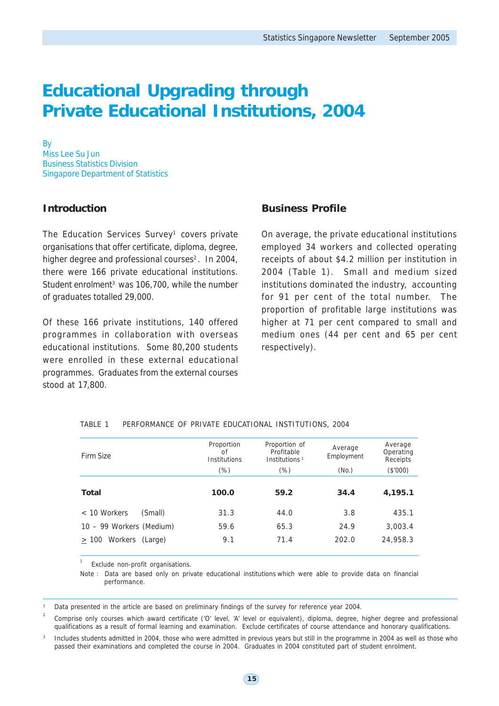# **Educational Upgrading through Private Educational Institutions, 2004**

**B** Miss Lee Su Jun Business Statistics Division Singapore Department of Statistics

# **Introduction**

The Education Services Survey<sup>1</sup> covers private organisations that offer certificate, diploma, degree, higher degree and professional courses $2$ . In 2004, there were 166 private educational institutions. Student enrolment $3$  was 106,700, while the number of graduates totalled 29,000.

Of these 166 private institutions, 140 offered programmes in collaboration with overseas educational institutions. Some 80,200 students were enrolled in these external educational programmes. Graduates from the external courses stood at 17,800.

# **Business Profile**

On average, the private educational institutions employed 34 workers and collected operating receipts of about \$4.2 million per institution in 2004 (Table 1). Small and medium sized institutions dominated the industry, accounting for 91 per cent of the total number. The proportion of profitable large institutions was higher at 71 per cent compared to small and medium ones (44 per cent and 65 per cent respectively).

| Firm Size                  | Proportion<br>οf<br>Institutions<br>$(\%)$ | Proportion of<br>Profitable<br>Institutions <sup>1</sup><br>$(\%)$ | Average<br>Employment<br>(N <sub>0</sub> ) | Average<br>Operating<br>Receipts<br>(\$'000) |
|----------------------------|--------------------------------------------|--------------------------------------------------------------------|--------------------------------------------|----------------------------------------------|
| Total                      | 100.0                                      | 59.2                                                               | 34.4                                       | 4,195.1                                      |
| $< 10$ Workers<br>(Small)  | 31.3                                       | 44.0                                                               | 3.8                                        | 435.1                                        |
| 10 – 99 Workers (Medium)   | 59.6                                       | 65.3                                                               | 24.9                                       | 3,003.4                                      |
| Workers<br>(Large)<br>>100 | 9.1                                        | 71.4                                                               | 202.0                                      | 24,958.3                                     |

## TABLE 1 PERFORMANCE OF PRIVATE EDUCATIONAL INSTITUTIONS, 2004

Exclude non-profit organisations.

1

Note : Data are based only on private educational institutions which were able to provide data on financial performance.

Data presented in the article are based on preliminary findings of the survey for reference year 2004.

2 Comprise only courses which award certificate ('O' level, 'A' level or equivalent), diploma, degree, higher degree and professional qualifications as a result of formal learning and examination. Exclude certificates of course attendance and honorary qualifications.

<sup>3</sup> Includes students admitted in 2004, those who were admitted in previous years but still in the programme in 2004 as well as those who passed their examinations and completed the course in 2004. Graduates in 2004 constituted part of student enrolment.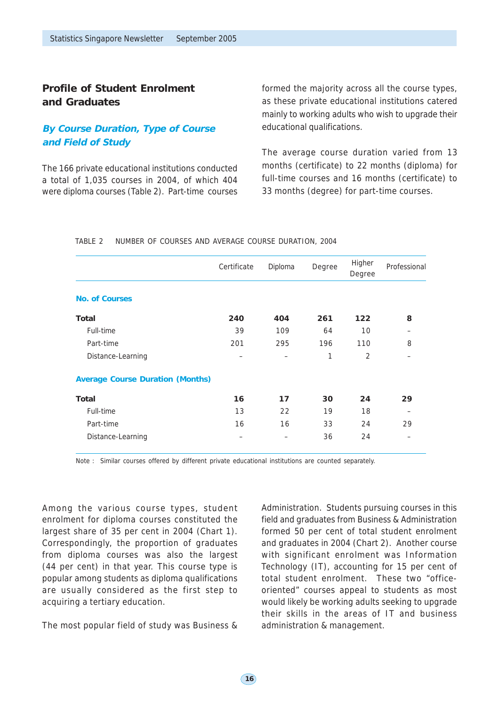# **Profile of Student Enrolment and Graduates**

**No. of Courses**

# **By Course Duration, Type of Course and Field of Study**

The 166 private educational institutions conducted a total of 1,035 courses in 2004, of which 404 were diploma courses (Table 2). Part-time courses formed the majority across all the course types, as these private educational institutions catered mainly to working adults who wish to upgrade their educational qualifications.

The average course duration varied from 13 months (certificate) to 22 months (diploma) for full-time courses and 16 months (certificate) to 33 months (degree) for part-time courses.

Degree

Certificate Diploma Degree Higher Professional

## TABLE 2 NUMBER OF COURSES AND AVERAGE COURSE DURATION, 2004

Full-time 39 109 64 10 – Part-time 201 295 196 110 8 Distance-Learning  $\qquad \qquad \qquad$  1 2  $\qquad$ **Average Course Duration (Months) Total 16 17 30 24 29** Full-time 13 22 19 18 – Part-time 16 16 33 24 29 Distance-Learning – – 36 24 –

**Total 240 404 261 122 8**

Note : Similar courses offered by different private educational institutions are counted separately.

Among the various course types, student enrolment for diploma courses constituted the largest share of 35 per cent in 2004 (Chart 1). Correspondingly, the proportion of graduates from diploma courses was also the largest (44 per cent) in that year. This course type is popular among students as diploma qualifications are usually considered as the first step to acquiring a tertiary education.

The most popular field of study was Business &

Administration. Students pursuing courses in this field and graduates from Business & Administration formed 50 per cent of total student enrolment and graduates in 2004 (Chart 2). Another course with significant enrolment was Information Technology (IT), accounting for 15 per cent of total student enrolment. These two "officeoriented" courses appeal to students as most would likely be working adults seeking to upgrade their skills in the areas of IT and business administration & management.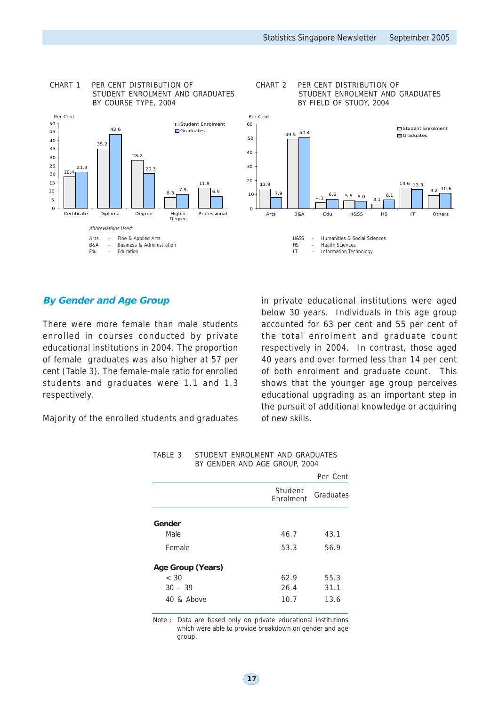### CHART 1 PER CENT DISTRIBUTION OF STUDENT ENROLMENT AND GRADUATES BY COURSE TYPE, 2004



### CHART 2 PER CENT DISTRIBUTION OF STUDENT ENROLMENT AND GRADUATES BY FIELD OF STUDY, 2004



## **By Gender and Age Group**

There were more female than male students enrolled in courses conducted by private educational institutions in 2004. The proportion of female graduates was also higher at 57 per cent (Table 3). The female-male ratio for enrolled students and graduates were 1.1 and 1.3 respectively.

Majority of the enrolled students and graduates

in private educational institutions were aged below 30 years. Individuals in this age group accounted for 63 per cent and 55 per cent of the total enrolment and graduate count respectively in 2004. In contrast, those aged 40 years and over formed less than 14 per cent of both enrolment and graduate count. This shows that the younger age group perceives educational upgrading as an important step in the pursuit of additional knowledge or acquiring of new skills.

| Student   | Per Cent  |
|-----------|-----------|
|           |           |
| Enrolment | Graduates |
|           |           |
| 46.7      | 43.1      |
| 53.3      | 56.9      |
|           |           |
| 62.9      | 55.3      |
| 26.4      | 31.1      |
| 10.7      | 13.6      |
|           |           |

| TABLE 3 | STUDENT ENROLMENT AND GRADUATES |
|---------|---------------------------------|
|         | BY GENDER AND AGE GROUP, 2004   |

Note : Data are based only on private educational institutions which were able to provide breakdown on gender and age group.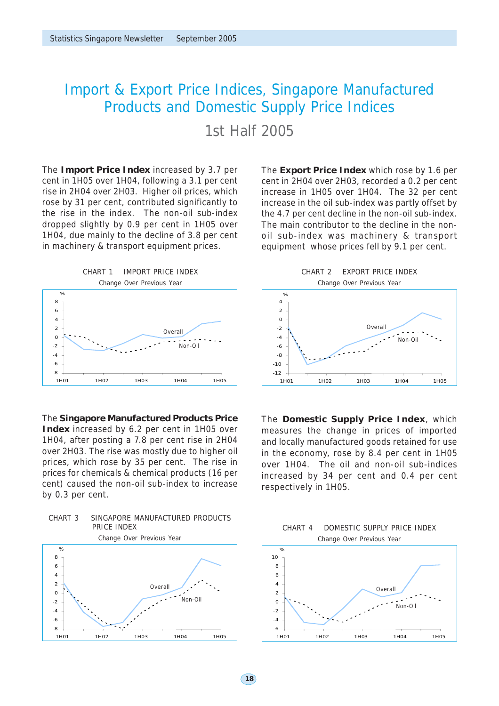# Import & Export Price Indices, Singapore Manufactured Products and Domestic Supply Price Indices

1st Half 2005

The **Import Price Index** increased by 3.7 per cent in 1H05 over 1H04, following a 3.1 per cent rise in 2H04 over 2H03. Higher oil prices, which rose by 31 per cent, contributed significantly to the rise in the index. The non-oil sub-index dropped slightly by 0.9 per cent in 1H05 over 1H04, due mainly to the decline of 3.8 per cent in machinery & transport equipment prices.



The **Singapore Manufactured Products Price Index** increased by 6.2 per cent in 1H05 over 1H04, after posting a 7.8 per cent rise in 2H04 over 2H03. The rise was mostly due to higher oil prices, which rose by 35 per cent. The rise in prices for chemicals & chemical products (16 per cent) caused the non-oil sub-index to increase by 0.3 per cent.



CHART 3 SINGAPORE MANUFACTURED PRODUCTS PRICE INDEX

The **Export Price Index** which rose by 1.6 per cent in 2H04 over 2H03, recorded a 0.2 per cent increase in 1H05 over 1H04. The 32 per cent increase in the oil sub-index was partly offset by the 4.7 per cent decline in the non-oil sub-index. The main contributor to the decline in the nonoil sub-index was machinery & transport equipment whose prices fell by 9.1 per cent.



The **Domestic Supply Price Index**, which measures the change in prices of imported and locally manufactured goods retained for use in the economy, rose by 8.4 per cent in 1H05 over 1H04. The oil and non-oil sub-indices increased by 34 per cent and 0.4 per cent respectively in 1H05.





 $(18)$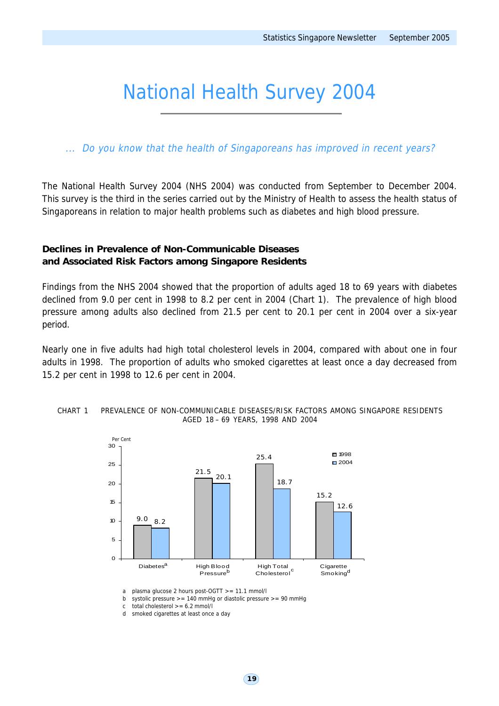# National Health Survey 2004

# ... Do you know that the health of Singaporeans has improved in recent years?

The National Health Survey 2004 (NHS 2004) was conducted from September to December 2004. This survey is the third in the series carried out by the Ministry of Health to assess the health status of Singaporeans in relation to major health problems such as diabetes and high blood pressure.

# **Declines in Prevalence of Non-Communicable Diseases and Associated Risk Factors among Singapore Residents**

Findings from the NHS 2004 showed that the proportion of adults aged 18 to 69 years with diabetes declined from 9.0 per cent in 1998 to 8.2 per cent in 2004 (Chart 1). The prevalence of high blood pressure among adults also declined from 21.5 per cent to 20.1 per cent in 2004 over a six-year period.

Nearly one in five adults had high total cholesterol levels in 2004, compared with about one in four adults in 1998. The proportion of adults who smoked cigarettes at least once a day decreased from 15.2 per cent in 1998 to 12.6 per cent in 2004.





a plasma glucose 2 hours post-OGTT >= 11.1 mmol/l

b systolic pressure  $>= 140$  mmHg or diastolic pressure  $>= 90$  mmHg

c total cholesterol >= 6.2 mmol/l

d smoked cigarettes at least once a day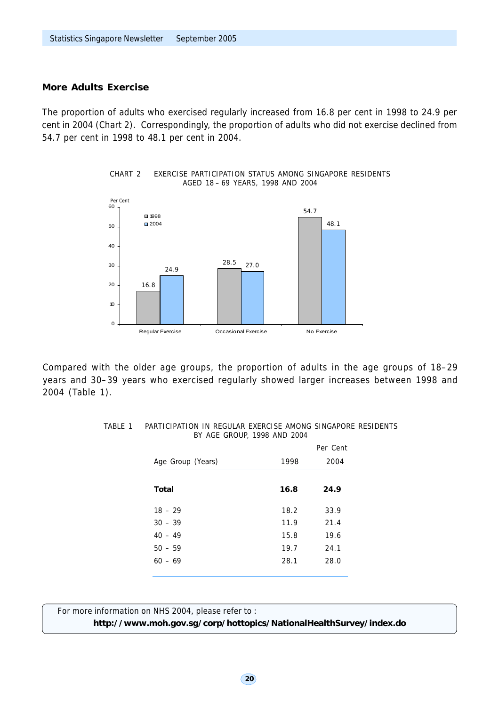# **More Adults Exercise**

The proportion of adults who exercised regularly increased from 16.8 per cent in 1998 to 24.9 per cent in 2004 (Chart 2). Correspondingly, the proportion of adults who did not exercise declined from 54.7 per cent in 1998 to 48.1 per cent in 2004.

> CHART 2 EXERCISE PARTICIPATION STATUS AMONG SINGAPORE RESIDENTS AGED 18 – 69 YEARS, 1998 AND 2004



Compared with the older age groups, the proportion of adults in the age groups of 18–29 years and 30–39 years who exercised regularly showed larger increases between 1998 and 2004 (Table 1).

| TABLE 1 | PARTICIPATION IN REGULAR EXERCISE AMONG SINGAPORE RESIDENTS |
|---------|-------------------------------------------------------------|
|         | BY AGE GROUP, 1998 AND 2004                                 |

For more information on NHS 2004, please refer to : **http://www.moh.gov.sg/corp/hottopics/NationalHealthSurvey/index.do**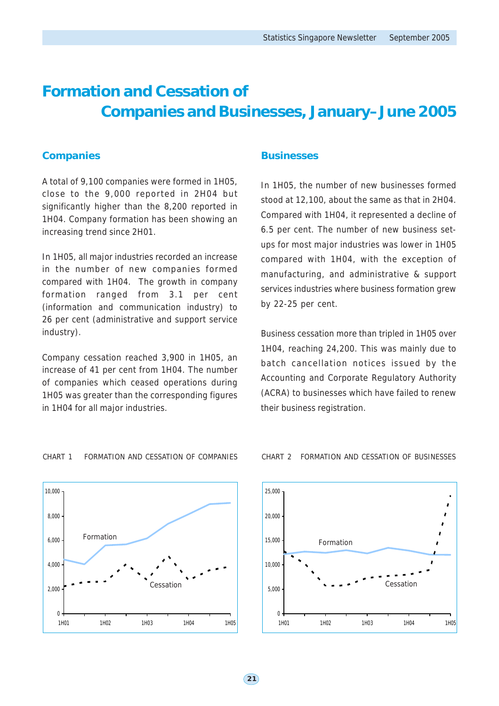# **Formation and Cessation of Companies and Businesses, January–June 2005**

# **Companies**

A total of 9,100 companies were formed in 1H05, close to the 9,000 reported in 2H04 but significantly higher than the 8,200 reported in 1H04. Company formation has been showing an increasing trend since 2H01.

In 1H05, all major industries recorded an increase in the number of new companies formed compared with 1H04. The growth in company formation ranged from 3.1 per cent (information and communication industry) to 26 per cent (administrative and support service industry).

Company cessation reached 3,900 in 1H05, an increase of 41 per cent from 1H04. The number of companies which ceased operations during 1H05 was greater than the corresponding figures in 1H04 for all major industries.

# **Businesses**

In 1H05, the number of new businesses formed stood at 12,100, about the same as that in 2H04. Compared with 1H04, it represented a decline of 6.5 per cent. The number of new business setups for most major industries was lower in 1H05 compared with 1H04, with the exception of manufacturing, and administrative & support services industries where business formation grew by 22-25 per cent.

Business cessation more than tripled in 1H05 over 1H04, reaching 24,200. This was mainly due to batch cancellation notices issued by the Accounting and Corporate Regulatory Authority (ACRA) to businesses which have failed to renew their business registration.



## CHART 1 FORMATION AND CESSATION OF COMPANIES CHART 2 FORMATION AND CESSATION OF BUSINESSES



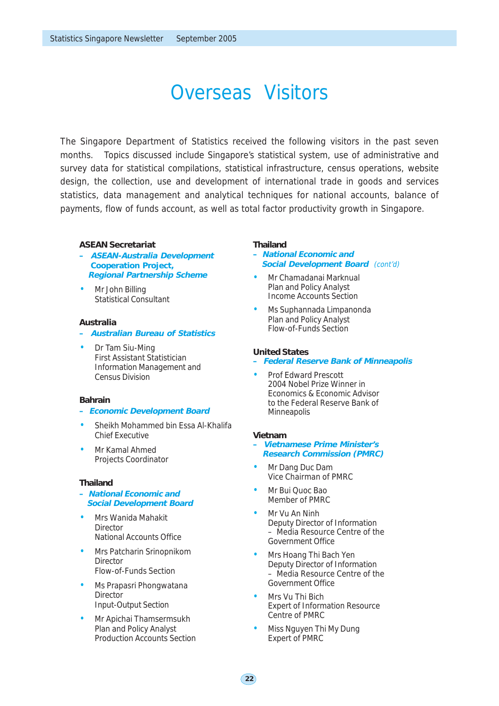# Overseas Visitors

The Singapore Department of Statistics received the following visitors in the past seven months. Topics discussed include Singapore's statistical system, use of administrative and survey data for statistical compilations, statistical infrastructure, census operations, website design, the collection, use and development of international trade in goods and services statistics, data management and analytical techniques for national accounts, balance of payments, flow of funds account, as well as total factor productivity growth in Singapore.

## **ASEAN Secretariat**

- **ASEAN-Australia Development Cooperation Project, Regional Partnership Scheme**
- Mr John Billing Statistical Consultant

## **Australia**

- **Australian Bureau of Statistics**
- Dr Tam Siu-Ming First Assistant Statistician Information Management and Census Division

## **Bahrain**

- **Economic Development Board**
- Sheikh Mohammed bin Essa Al-Khalifa Chief Executive
- Mr Kamal Ahmed Projects Coordinator

## **Thailand**

- **National Economic and Social Development Board**
- Mrs Wanida Mahakit **Director** National Accounts Office
- Mrs Patcharin Srinopnikom **Director** Flow-of-Funds Section
- Ms Prapasri Phongwatana **Director** Input-Output Section
- Mr Apichai Thamsermsukh Plan and Policy Analyst Production Accounts Section

### **Thailand**

### **– National Economic and Social Development Board** (cont'd)

- Mr Chamadanai Marknual Plan and Policy Analyst Income Accounts Section
- Ms Suphannada Limpanonda Plan and Policy Analyst Flow-of-Funds Section

### **United States**

- **Federal Reserve Bank of Minneapolis**
- Prof Edward Prescott 2004 Nobel Prize Winner in Economics & Economic Advisor to the Federal Reserve Bank of Minneapolis

## **Vietnam**

- **Vietnamese Prime Minister's Research Commission (PMRC)**
- Mr Dang Duc Dam Vice Chairman of PMRC
- Mr Bui Quoc Bao Member of PMRC
- Mr Vu An Ninh Deputy Director of Information – Media Resource Centre of the Government Office
- Mrs Hoang Thi Bach Yen Deputy Director of Information – Media Resource Centre of the Government Office
- Mrs Vu Thi Bich Expert of Information Resource Centre of PMRC
- Miss Nguyen Thi My Dung Expert of PMRC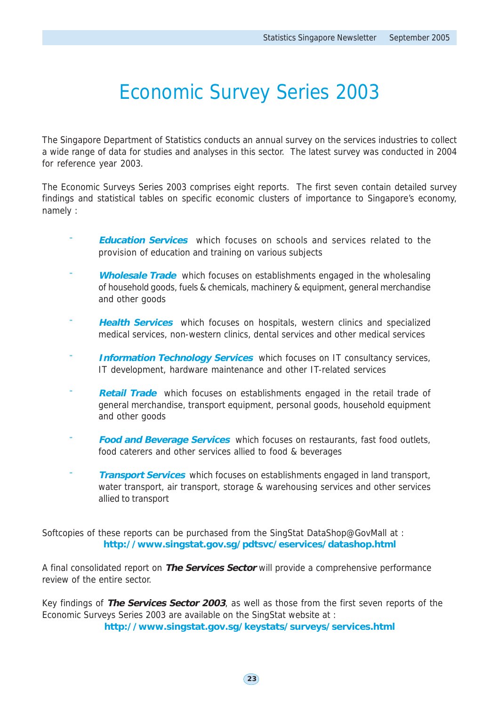# Economic Survey Series 2003

The Singapore Department of Statistics conducts an annual survey on the services industries to collect a wide range of data for studies and analyses in this sector. The latest survey was conducted in 2004 for reference year 2003.

The Economic Surveys Series 2003 comprises eight reports. The first seven contain detailed survey findings and statistical tables on specific economic clusters of importance to Singapore's economy, namely :

- **Education Services** which focuses on schools and services related to the provision of education and training on various subjects
- **Wholesale Trade** which focuses on establishments engaged in the wholesaling of household goods, fuels & chemicals, machinery & equipment, general merchandise and other goods
- **Health Services** which focuses on hospitals, western clinics and specialized medical services, non-western clinics, dental services and other medical services
- **Information Technology Services** which focuses on IT consultancy services, IT development, hardware maintenance and other IT-related services
- **Retail Trade** which focuses on establishments engaged in the retail trade of general merchandise, transport equipment, personal goods, household equipment and other goods
- **Food and Beverage Services** which focuses on restaurants, fast food outlets, food caterers and other services allied to food & beverages
- **Transport Services** which focuses on establishments engaged in land transport, water transport, air transport, storage & warehousing services and other services allied to transport

Softcopies of these reports can be purchased from the SingStat DataShop@GovMall at : **http://www.singstat.gov.sg/pdtsvc/eservices/datashop.html**

A final consolidated report on **The Services Sector** will provide a comprehensive performance review of the entire sector.

Key findings of **The Services Sector 2003**, as well as those from the first seven reports of the Economic Surveys Series 2003 are available on the SingStat website at :

**http://www.singstat.gov.sg/keystats/surveys/services.html**